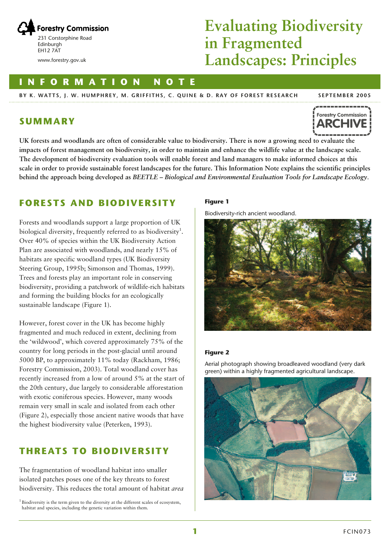

www.forestry.gov.uk

# **Evaluating Biodiversity in Fragmented Landscapes: Principles**

### **INFORMATION NOTE**

**BY K. WATTS, J. W. HUMPHREY, M. GRIFFITHS, C. QUINE & D. RAY OF FOREST RESEARCH**

#### **SEPTEMBER 2005**



### **SUMMARY**

**UK forests and woodlands are often of considerable value to biodiversity. There is now a growing need to evaluate the impacts of forest management on biodiversity, in order to maintain and enhance the wildlife value at the landscape scale. The development of biodiversity evaluation tools will enable forest and land managers to make informed choices at this scale in order to provide sustainable forest landscapes for the future. This Information Note explains the scientific principles behind the approach being developed as** *BEETLE – Biological and Environmental Evaluation Tools for Landscape Ecology*.

## **FORESTS AND BIODIVERSITY**

Forests and woodlands support a large proportion of UK biological diversity, frequently referred to as biodiversity<sup>1</sup>. Over 40% of species within the UK Biodiversity Action Plan are associated with woodlands, and nearly 15% of habitats are specific woodland types (UK Biodiversity Steering Group, 1995b; Simonson and Thomas, 1999). Trees and forests play an important role in conserving biodiversity, providing a patchwork of wildlife-rich habitats and forming the building blocks for an ecologically sustainable landscape (Figure 1).

However, forest cover in the UK has become highly fragmented and much reduced in extent, declining from the 'wildwood', which covered approximately 75% of the country for long periods in the post-glacial until around 5000 BP, to approximately 11% today (Rackham, 1986; Forestry Commission, 2003). Total woodland cover has recently increased from a low of around 5% at the start of the 20th century, due largely to considerable afforestation with exotic coniferous species. However, many woods remain very small in scale and isolated from each other (Figure 2), especially those ancient native woods that have the highest biodiversity value (Peterken, 1993).

# **THREATS TO BIODIVERSITY**

The fragmentation of woodland habitat into smaller isolated patches poses one of the key threats to forest biodiversity. This reduces the total amount of habitat *area*

 $1$  Biodiversity is the term given to the diversity at the different scales of ecosystem, habitat and species, including the genetic variation within them.

#### **Figure 1**

Biodiversity-rich ancient woodland.



#### **Figure 2**

Aerial photograph showing broadleaved woodland (very dark green) within a highly fragmented agricultural landscape.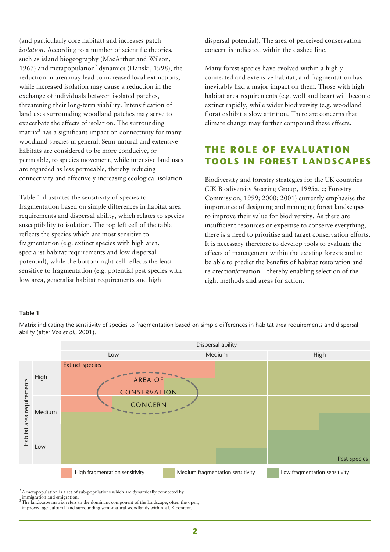(and particularly core habitat) and increases patch *isolation*. According to a number of scientific theories, such as island biogeography (MacArthur and Wilson, 1967) and metapopulation<sup>2</sup> dynamics (Hanski, 1998), the reduction in area may lead to increased local extinctions, while increased isolation may cause a reduction in the exchange of individuals between isolated patches, threatening their long-term viability. Intensification of land uses surrounding woodland patches may serve to exacerbate the effects of isolation. The surrounding matrix<sup>3</sup> has a significant impact on connectivity for many woodland species in general. Semi-natural and extensive habitats are considered to be more conducive, or permeable, to species movement, while intensive land uses are regarded as less permeable, thereby reducing connectivity and effectively increasing ecological isolation.

Table 1 illustrates the sensitivity of species to fragmentation based on simple differences in habitat area requirements and dispersal ability, which relates to species susceptibility to isolation. The top left cell of the table reflects the species which are most sensitive to fragmentation (e.g. extinct species with high area, specialist habitat requirements and low dispersal potential), while the bottom right cell reflects the least sensitive to fragmentation (e.g. potential pest species with low area, generalist habitat requirements and high

dispersal potential). The area of perceived conservation concern is indicated within the dashed line.

Many forest species have evolved within a highly connected and extensive habitat, and fragmentation has inevitably had a major impact on them. Those with high habitat area requirements (e.g. wolf and bear) will become extinct rapidly, while wider biodiversity (e.g. woodland flora) exhibit a slow attrition. There are concerns that climate change may further compound these effects.

# **THE ROLE OF EVALUATION TOOLS IN FOREST LANDSCAPES**

Biodiversity and forestry strategies for the UK countries (UK Biodiversity Steering Group, 1995a, c; Forestry Commission, 1999; 2000; 2001) currently emphasise the importance of designing and managing forest landscapes to improve their value for biodiversity. As there are insufficient resources or expertise to conserve everything, there is a need to prioritise and target conservation efforts. It is necessary therefore to develop tools to evaluate the effects of management within the existing forests and to be able to predict the benefits of habitat restoration and re-creation/creation – thereby enabling selection of the right methods and areas for action.

#### **Table 1**

Matrix indicating the sensitivity of species to fragmentation based on simple differences in habitat area requirements and dispersal ability (after Vos *et al*., 2001).



 $2A$  metapopulation is a set of sub-populations which are dynamically connected by

immigration and emigration.

<sup>&</sup>lt;sup>3</sup>The landscape matrix refers to the dominant component of the landscape, often the open, improved agricultural land surrounding semi-natural woodlands within a UK context.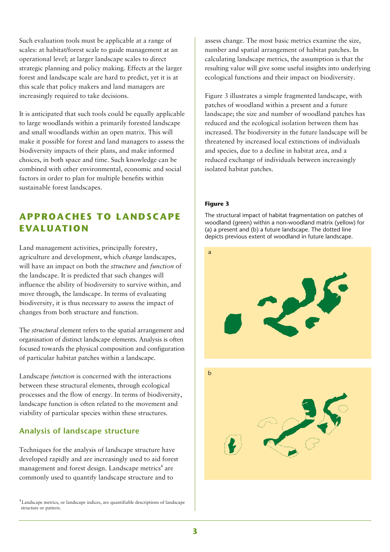Such evaluation tools must be applicable at a range of scales: at habitat/forest scale to guide management at an operational level; at larger landscape scales to direct strategic planning and policy making. Effects at the larger forest and landscape scale are hard to predict, yet it is at this scale that policy makers and land managers are increasingly required to take decisions.

It is anticipated that such tools could be equally applicable to large woodlands within a primarily forested landscape and small woodlands within an open matrix. This will make it possible for forest and land managers to assess the biodiversity impacts of their plans, and make informed choices, in both space and time. Such knowledge can be combined with other environmental, economic and social factors in order to plan for multiple benefits within sustainable forest landscapes.

# **APPROACHES TO LANDSCAPE EVALUATION**

Land management activities, principally forestry, agriculture and development, which *change* landscapes, will have an impact on both the *structure* and *function* of the landscape. It is predicted that such changes will influence the ability of biodiversity to survive within, and move through, the landscape. In terms of evaluating biodiversity, it is thus necessary to assess the impact of changes from both structure and function.

The *structural* element refers to the spatial arrangement and organisation of distinct landscape elements. Analysis is often focused towards the physical composition and configuration of particular habitat patches within a landscape.

Landscape *function* is concerned with the interactions between these structural elements, through ecological processes and the flow of energy. In terms of biodiversity, landscape function is often related to the movement and viability of particular species within these structures.

### **Analysis of landscape structure**

Techniques for the analysis of landscape structure have developed rapidly and are increasingly used to aid forest management and forest design. Landscape metrics<sup>4</sup> are commonly used to quantify landscape structure and to

<sup>4</sup> Landscape metrics, or landscape indices, are quantifiable descriptions of landscape structure or pattern.

assess change. The most basic metrics examine the size, number and spatial arrangement of habitat patches. In calculating landscape metrics, the assumption is that the resulting value will give some useful insights into underlying ecological functions and their impact on biodiversity.

Figure 3 illustrates a simple fragmented landscape, with patches of woodland within a present and a future landscape; the size and number of woodland patches has reduced and the ecological isolation between them has increased. The biodiversity in the future landscape will be threatened by increased local extinctions of individuals and species, due to a decline in habitat area, and a reduced exchange of individuals between increasingly isolated habitat patches.

#### **Figure 3**

The structural impact of habitat fragmentation on patches of woodland (green) within a non-woodland matrix (yellow) for (a) a present and (b) a future landscape. The dotted line depicts previous extent of woodland in future landscape.

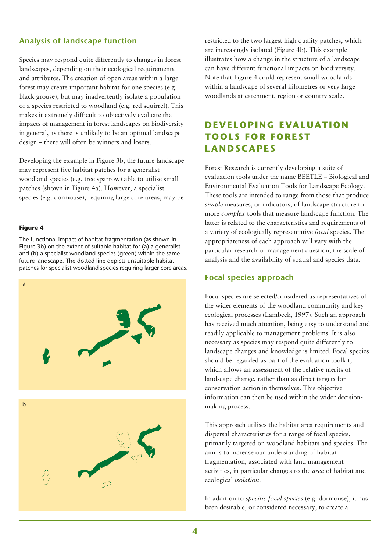### **Analysis of landscape function**

Species may respond quite differently to changes in forest landscapes, depending on their ecological requirements and attributes. The creation of open areas within a large forest may create important habitat for one species (e.g. black grouse), but may inadvertently isolate a population of a species restricted to woodland (e.g. red squirrel). This makes it extremely difficult to objectively evaluate the impacts of management in forest landscapes on biodiversity in general, as there is unlikely to be an optimal landscape design – there will often be winners and losers.

Developing the example in Figure 3b, the future landscape may represent five habitat patches for a generalist woodland species (e.g. tree sparrow) able to utilise small patches (shown in Figure 4a). However, a specialist species (e.g. dormouse), requiring large core areas, may be

#### **Figure 4**

The functional impact of habitat fragmentation (as shown in Figure 3b) on the extent of suitable habitat for (a) a generalist and (b) a specialist woodland species (green) within the same future landscape. The dotted line depicts unsuitable habitat patches for specialist woodland species requiring larger core areas.



restricted to the two largest high quality patches, which are increasingly isolated (Figure 4b). This example illustrates how a change in the structure of a landscape can have different functional impacts on biodiversity. Note that Figure 4 could represent small woodlands within a landscape of several kilometres or very large woodlands at catchment, region or country scale.

# **DEVELOPING EVALUATION TOOLS FOR FOREST LANDSCAPES**

Forest Research is currently developing a suite of evaluation tools under the name BEETLE – Biological and Environmental Evaluation Tools for Landscape Ecology. These tools are intended to range from those that produce *simple* measures, or indicators, of landscape structure to more *complex* tools that measure landscape function. The latter is related to the characteristics and requirements of a variety of ecologically representative *focal* species. The appropriateness of each approach will vary with the particular research or management question, the scale of analysis and the availability of spatial and species data.

#### **Focal species approach**

Focal species are selected/considered as representatives of the wider elements of the woodland community and key ecological processes (Lambeck, 1997). Such an approach has received much attention, being easy to understand and readily applicable to management problems. It is also necessary as species may respond quite differently to landscape changes and knowledge is limited. Focal species should be regarded as part of the evaluation toolkit, which allows an assessment of the relative merits of landscape change, rather than as direct targets for conservation action in themselves. This objective information can then be used within the wider decisionmaking process.

This approach utilises the habitat area requirements and dispersal characteristics for a range of focal species, primarily targeted on woodland habitats and species. The aim is to increase our understanding of habitat fragmentation, associated with land management activities, in particular changes to the *area* of habitat and ecological *isolation*.

In addition to *specific focal species* (e.g. dormouse), it has been desirable, or considered necessary, to create a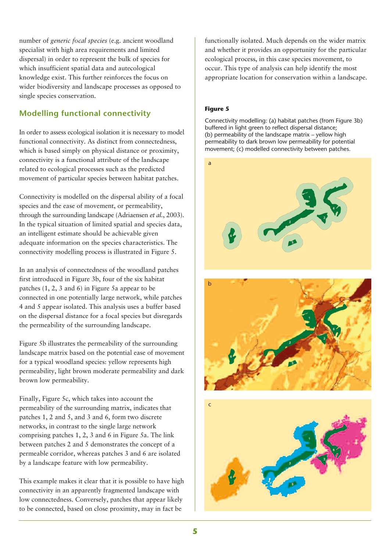number of *generic focal species* (e.g. ancient woodland specialist with high area requirements and limited dispersal) in order to represent the bulk of species for which insufficient spatial data and autecological knowledge exist. This further reinforces the focus on wider biodiversity and landscape processes as opposed to single species conservation.

### **Modelling functional connectivity**

In order to assess ecological isolation it is necessary to model functional connectivity. As distinct from connectedness, which is based simply on physical distance or proximity, connectivity is a functional attribute of the landscape related to ecological processes such as the predicted movement of particular species between habitat patches.

Connectivity is modelled on the dispersal ability of a focal species and the ease of movement, or permeability, through the surrounding landscape (Adriaensen *et al.*, 2003). In the typical situation of limited spatial and species data, an intelligent estimate should be achievable given adequate information on the species characteristics. The connectivity modelling process is illustrated in Figure 5.

In an analysis of connectedness of the woodland patches first introduced in Figure 3b, four of the six habitat patches (1, 2, 3 and 6) in Figure 5a appear to be connected in one potentially large network, while patches 4 and 5 appear isolated. This analysis uses a buffer based on the dispersal distance for a focal species but disregards the permeability of the surrounding landscape.

Figure 5b illustrates the permeability of the surrounding landscape matrix based on the potential ease of movement for a typical woodland species: yellow represents high permeability, light brown moderate permeability and dark brown low permeability.

Finally, Figure 5c, which takes into account the permeability of the surrounding matrix, indicates that patches 1, 2 and 5, and 3 and 6, form two discrete networks, in contrast to the single large network comprising patches 1, 2, 3 and 6 in Figure 5a. The link between patches 2 and 5 demonstrates the concept of a permeable corridor, whereas patches 3 and 6 are isolated by a landscape feature with low permeability.

This example makes it clear that it is possible to have high connectivity in an apparently fragmented landscape with low connectedness. Conversely, patches that appear likely to be connected, based on close proximity, may in fact be

functionally isolated. Much depends on the wider matrix and whether it provides an opportunity for the particular ecological process, in this case species movement, to occur. This type of analysis can help identify the most appropriate location for conservation within a landscape.

#### **Figure 5**

Connectivity modelling: (a) habitat patches (from Figure 3b) buffered in light green to reflect dispersal distance; (b) permeability of the landscape matrix – yellow high permeability to dark brown low permeability for potential movement; (c) modelled connectivity between patches.



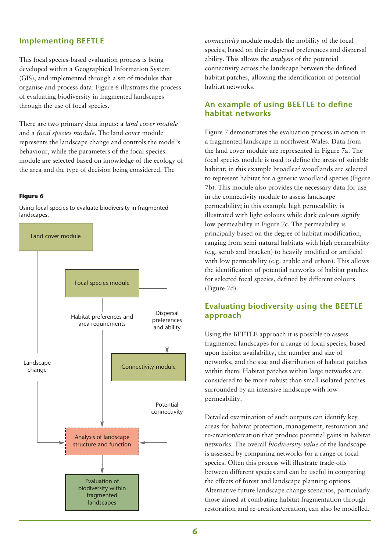### **Implementing BEETLE**

This focal species-based evaluation process is being developed within a Geographical Information System (GIS), and implemented through a set of modules that organise and process data. Figure 6 illustrates the process of evaluating biodiversity in fragmented landscapes through the use of focal species.

There are two primary data inputs: a *land cover module* and a *focal species module*. The land cover module represents the landscape change and controls the model's behaviour, while the parameters of the focal species module are selected based on knowledge of the ecology of the area and the type of decision being considered. The

#### **Figure 6**

Using focal species to evaluate biodiversity in fragmented landscapes.



*connectivity* module models the mobility of the focal species, based on their dispersal preferences and dispersal ability. This allows the *analysis* of the potential connectivity across the landscape between the defined habitat patches, allowing the identification of potential habitat networks.

#### **An example of using BEETLE to define habitat networks**

Figure 7 demonstrates the evaluation process in action in a fragmented landscape in northwest Wales. Data from the land cover module are represented in Figure 7a. The focal species module is used to define the areas of suitable habitat; in this example broadleaf woodlands are selected to represent habitat for a generic woodland species (Figure 7b). This module also provides the necessary data for use in the connectivity module to assess landscape permeability; in this example high permeability is illustrated with light colours while dark colours signify low permeability in Figure 7c. The permeability is principally based on the degree of habitat modification, ranging from semi-natural habitats with high permeability (e.g. scrub and bracken) to heavily modified or artificial with low permeability (e.g. arable and urban). This allows the identification of potential networks of habitat patches for selected focal species, defined by different colours (Figure 7d).

#### **Evaluating biodiversity using the BEETLE approach**

Using the BEETLE approach it is possible to assess fragmented landscapes for a range of focal species, based upon habitat availability, the number and size of networks, and the size and distribution of habitat patches within them. Habitat patches within large networks are considered to be more robust than small isolated patches surrounded by an intensive landscape with low permeability.

Detailed examination of such outputs can identify key areas for habitat protection, management, restoration and re-creation/creation that produce potential gains in habitat networks. The overall *biodiversity value* of the landscape is assessed by comparing networks for a range of focal species. Often this process will illustrate trade-offs between different species and can be useful in comparing the effects of forest and landscape planning options. Alternative future landscape change scenarios, particularly those aimed at combating habitat fragmentation through restoration and re-creation/creation, can also be modelled.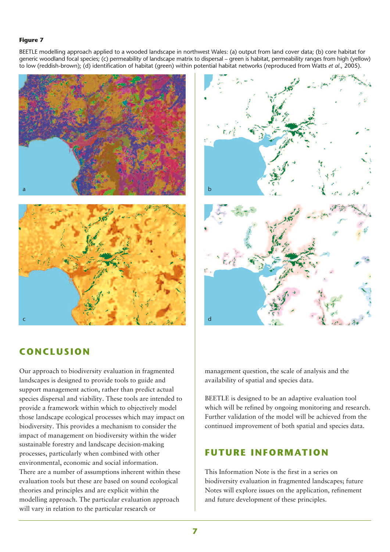#### **Figure 7**

BEETLE modelling approach applied to a wooded landscape in northwest Wales: (a) output from land cover data; (b) core habitat for generic woodland focal species; (c) permeability of landscape matrix to dispersal – green is habitat, permeability ranges from high (yellow) to low (reddish-brown); (d) identification of habitat (green) within potential habitat networks (reproduced from Watts *et al*., 2005).





### **CONCLUSION**

Our approach to biodiversity evaluation in fragmented landscapes is designed to provide tools to guide and support management action, rather than predict actual species dispersal and viability. These tools are intended to provide a framework within which to objectively model those landscape ecological processes which may impact on biodiversity. This provides a mechanism to consider the impact of management on biodiversity within the wider sustainable forestry and landscape decision-making processes, particularly when combined with other environmental, economic and social information. There are a number of assumptions inherent within these evaluation tools but these are based on sound ecological theories and principles and are explicit within the modelling approach. The particular evaluation approach will vary in relation to the particular research or

management question, the scale of analysis and the availability of spatial and species data.

BEETLE is designed to be an adaptive evaluation tool which will be refined by ongoing monitoring and research. Further validation of the model will be achieved from the continued improvement of both spatial and species data.

### **FUTURE INFORMATION**

This Information Note is the first in a series on biodiversity evaluation in fragmented landscapes; future Notes will explore issues on the application, refinement and future development of these principles.